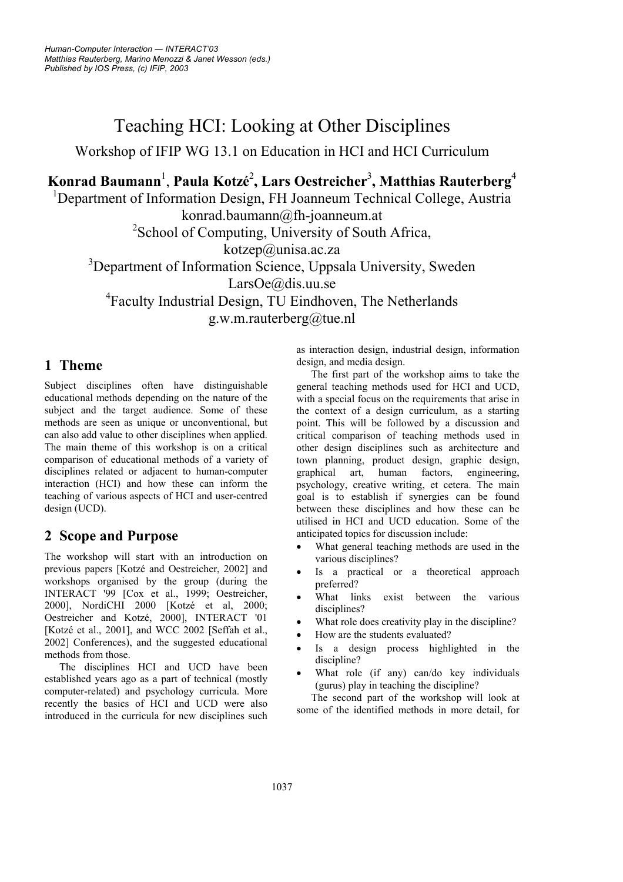# Teaching HCI: Looking at Other Disciplines

Workshop of IFIP WG 13.1 on Education in HCI and HCI Curriculum

## **Konrad Baumann**<sup>1</sup> , **Paula Kotzé** 2 **, Lars Oestreicher**<sup>3</sup> **, Matthias Rauterberg**<sup>4</sup>

<sup>1</sup>Department of Information Design, FH Joanneum Technical College, Austria konrad.baumann@fh-joanneum.at <sup>2</sup>School of Computing, University of South Africa,

kotzep@unisa.ac.za

<sup>3</sup>Department of Information Science, Uppsala University, Sweden

LarsOe@dis.uu.se

4 Faculty Industrial Design, TU Eindhoven, The Netherlands g.w.m.rauterberg@tue.nl

#### **1 Theme**

Subject disciplines often have distinguishable educational methods depending on the nature of the subject and the target audience. Some of these methods are seen as unique or unconventional, but can also add value to other disciplines when applied. The main theme of this workshop is on a critical comparison of educational methods of a variety of disciplines related or adjacent to human-computer interaction (HCI) and how these can inform the teaching of various aspects of HCI and user-centred design (UCD).

### **2 Scope and Purpose**

The workshop will start with an introduction on previous papers [Kotzé and Oestreicher, 2002] and workshops organised by the group (during the INTERACT '99 [Cox et al., 1999; Oestreicher, 2000], NordiCHI 2000 [Kotzé et al, 2000; Oestreicher and Kotzé, 2000], INTERACT '01 [Kotzé et al., 2001], and WCC 2002 [Seffah et al., 2002] Conferences), and the suggested educational methods from those.

The disciplines HCI and UCD have been established years ago as a part of technical (mostly computer-related) and psychology curricula. More recently the basics of HCI and UCD were also introduced in the curricula for new disciplines such as interaction design, industrial design, information design, and media design.

The first part of the workshop aims to take the general teaching methods used for HCI and UCD, with a special focus on the requirements that arise in the context of a design curriculum, as a starting point. This will be followed by a discussion and critical comparison of teaching methods used in other design disciplines such as architecture and town planning, product design, graphic design, graphical art, human factors, engineering, psychology, creative writing, et cetera. The main goal is to establish if synergies can be found between these disciplines and how these can be utilised in HCI and UCD education. Some of the anticipated topics for discussion include:

- What general teaching methods are used in the various disciplines?
- Is a practical or a theoretical approach preferred?
- What links exist between the various disciplines?
	- What role does creativity play in the discipline?
- How are the students evaluated?
- Is a design process highlighted in the discipline?
- What role (if any) can/do key individuals (gurus) play in teaching the discipline?

The second part of the workshop will look at some of the identified methods in more detail, for